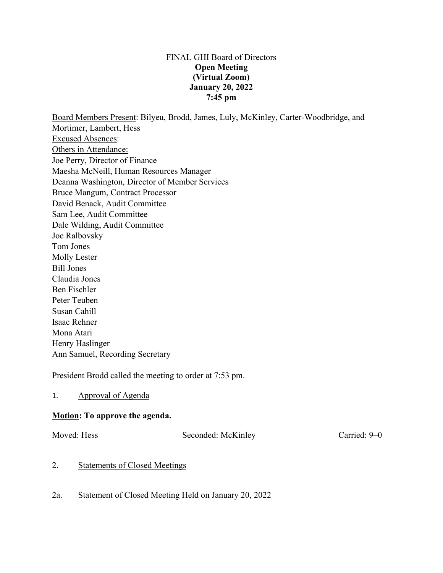#### FINAL GHI Board of Directors **Open Meeting (Virtual Zoom) January 20, 2022 7:45 pm**

Board Members Present: Bilyeu, Brodd, James, Luly, McKinley, Carter-Woodbridge, and Mortimer, Lambert, Hess Excused Absences: Others in Attendance: Joe Perry, Director of Finance Maesha McNeill, Human Resources Manager Deanna Washington, Director of Member Services Bruce Mangum, Contract Processor David Benack, Audit Committee Sam Lee, Audit Committee Dale Wilding, Audit Committee Joe Ralbovsky Tom Jones Molly Lester Bill Jones Claudia Jones Ben Fischler Peter Teuben Susan Cahill Isaac Rehner Mona Atari Henry Haslinger

Ann Samuel, Recording Secretary

President Brodd called the meeting to order at 7:53 pm.

1. Approval of Agenda

## **Motion: To approve the agenda.**

Moved: Hess Seconded: McKinley Carried: 9–0

2. Statements of Closed Meetings

# 2a. Statement of Closed Meeting Held on January 20, 2022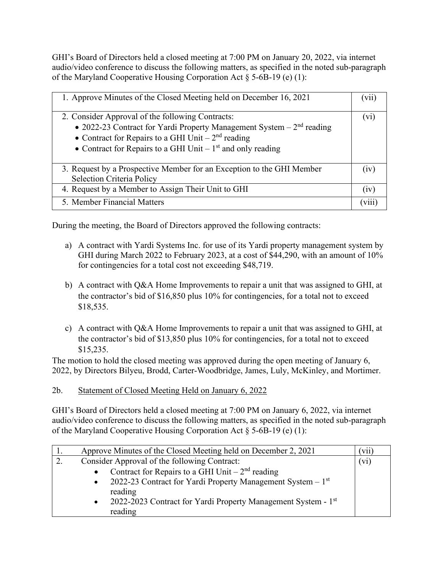GHI's Board of Directors held a closed meeting at 7:00 PM on January 20, 2022, via internet audio/video conference to discuss the following matters, as specified in the noted sub-paragraph of the Maryland Cooperative Housing Corporation Act § 5-6B-19 (e) (1):

| 1. Approve Minutes of the Closed Meeting held on December 16, 2021                                                                                                                                                                                 | ( V11 )     |
|----------------------------------------------------------------------------------------------------------------------------------------------------------------------------------------------------------------------------------------------------|-------------|
| 2. Consider Approval of the following Contracts:<br>• 2022-23 Contract for Yardi Property Management System $-2nd$ reading<br>• Contract for Repairs to a GHI Unit – $2nd$ reading<br>• Contract for Repairs to a GHI Unit $-1st$ and only reading | (V1)        |
| 3. Request by a Prospective Member for an Exception to the GHI Member<br><b>Selection Criteria Policy</b>                                                                                                                                          | (1V)        |
| 4. Request by a Member to Assign Their Unit to GHI                                                                                                                                                                                                 | (1V)        |
| 5. Member Financial Matters                                                                                                                                                                                                                        | <b>V111</b> |

During the meeting, the Board of Directors approved the following contracts:

- a) A contract with Yardi Systems Inc. for use of its Yardi property management system by GHI during March 2022 to February 2023, at a cost of \$44,290, with an amount of 10% for contingencies for a total cost not exceeding \$48,719.
- b) A contract with Q&A Home Improvements to repair a unit that was assigned to GHI, at the contractor's bid of \$16,850 plus 10% for contingencies, for a total not to exceed \$18,535.
- c) A contract with Q&A Home Improvements to repair a unit that was assigned to GHI, at the contractor's bid of \$13,850 plus 10% for contingencies, for a total not to exceed \$15,235.

The motion to hold the closed meeting was approved during the open meeting of January 6, 2022, by Directors Bilyeu, Brodd, Carter-Woodbridge, James, Luly, McKinley, and Mortimer.

2b. Statement of Closed Meeting Held on January 6, 2022

GHI's Board of Directors held a closed meeting at 7:00 PM on January 6, 2022, via internet audio/video conference to discuss the following matters, as specified in the noted sub-paragraph of the Maryland Cooperative Housing Corporation Act § 5-6B-19 (e) (1):

| 1. | Approve Minutes of the Closed Meeting held on December 2, 2021                         | V11 |
|----|----------------------------------------------------------------------------------------|-----|
|    | Consider Approval of the following Contract:                                           |     |
|    | Contract for Repairs to a GHI Unit $-2nd$ reading<br>$\bullet$                         |     |
|    | 2022-23 Contract for Yardi Property Management System $-1st$<br>$\bullet$              |     |
|    | reading                                                                                |     |
|    | 2022-2023 Contract for Yardi Property Management System - 1 <sup>st</sup><br>$\bullet$ |     |
|    | reading                                                                                |     |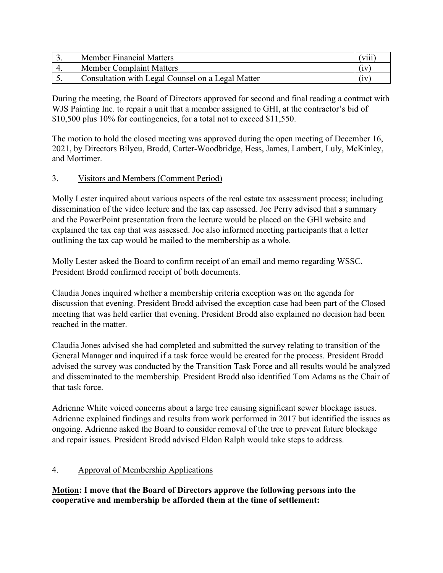| Member Financial Matters                          | viii |
|---------------------------------------------------|------|
| <b>Member Complaint Matters</b>                   | (iv) |
| Consultation with Legal Counsel on a Legal Matter | (iv) |

During the meeting, the Board of Directors approved for second and final reading a contract with WJS Painting Inc. to repair a unit that a member assigned to GHI, at the contractor's bid of \$10,500 plus 10% for contingencies, for a total not to exceed \$11,550.

The motion to hold the closed meeting was approved during the open meeting of December 16, 2021, by Directors Bilyeu, Brodd, Carter-Woodbridge, Hess, James, Lambert, Luly, McKinley, and Mortimer.

# 3. Visitors and Members (Comment Period)

Molly Lester inquired about various aspects of the real estate tax assessment process; including dissemination of the video lecture and the tax cap assessed. Joe Perry advised that a summary and the PowerPoint presentation from the lecture would be placed on the GHI website and explained the tax cap that was assessed. Joe also informed meeting participants that a letter outlining the tax cap would be mailed to the membership as a whole.

Molly Lester asked the Board to confirm receipt of an email and memo regarding WSSC. President Brodd confirmed receipt of both documents.

Claudia Jones inquired whether a membership criteria exception was on the agenda for discussion that evening. President Brodd advised the exception case had been part of the Closed meeting that was held earlier that evening. President Brodd also explained no decision had been reached in the matter.

Claudia Jones advised she had completed and submitted the survey relating to transition of the General Manager and inquired if a task force would be created for the process. President Brodd advised the survey was conducted by the Transition Task Force and all results would be analyzed and disseminated to the membership. President Brodd also identified Tom Adams as the Chair of that task force.

Adrienne White voiced concerns about a large tree causing significant sewer blockage issues. Adrienne explained findings and results from work performed in 2017 but identified the issues as ongoing. Adrienne asked the Board to consider removal of the tree to prevent future blockage and repair issues. President Brodd advised Eldon Ralph would take steps to address.

# 4. Approval of Membership Applications

**Motion: I move that the Board of Directors approve the following persons into the cooperative and membership be afforded them at the time of settlement:**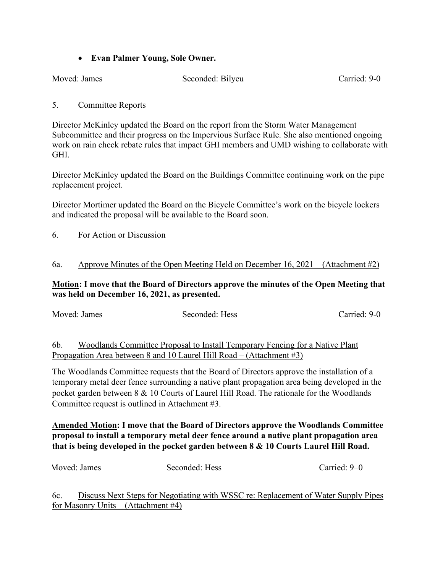## • **Evan Palmer Young, Sole Owner.**

Moved: James Seconded: Bilyeu Carried: 9-0

## 5. Committee Reports

Director McKinley updated the Board on the report from the Storm Water Management Subcommittee and their progress on the Impervious Surface Rule. She also mentioned ongoing work on rain check rebate rules that impact GHI members and UMD wishing to collaborate with GHI.

Director McKinley updated the Board on the Buildings Committee continuing work on the pipe replacement project.

Director Mortimer updated the Board on the Bicycle Committee's work on the bicycle lockers and indicated the proposal will be available to the Board soon.

6. For Action or Discussion

## 6a. Approve Minutes of the Open Meeting Held on December 16, 2021 – (Attachment #2)

## **Motion: I move that the Board of Directors approve the minutes of the Open Meeting that was held on December 16, 2021, as presented.**

|                | Moved: James | Seconded: Hess                                                               | Carried: 9-0 |
|----------------|--------------|------------------------------------------------------------------------------|--------------|
|                |              |                                                                              |              |
| 6 <sub>b</sub> |              | Woodlands Committee Proposal to Install Temporary Fencing for a Native Plant |              |

6b. Woodlands Committee Proposal to Install Temporary Fencing for a Native Plant Propagation Area between 8 and 10 Laurel Hill Road – (Attachment #3)

The Woodlands Committee requests that the Board of Directors approve the installation of a temporary metal deer fence surrounding a native plant propagation area being developed in the pocket garden between 8 & 10 Courts of Laurel Hill Road. The rationale for the Woodlands Committee request is outlined in Attachment #3.

# **Amended Motion: I move that the Board of Directors approve the Woodlands Committee proposal to install a temporary metal deer fence around a native plant propagation area that is being developed in the pocket garden between 8 & 10 Courts Laurel Hill Road.**

| Moved: James | Seconded: Hess | Carried: 9–0 |
|--------------|----------------|--------------|
|              |                |              |

6c. Discuss Next Steps for Negotiating with WSSC re: Replacement of Water Supply Pipes for Masonry Units – (Attachment #4)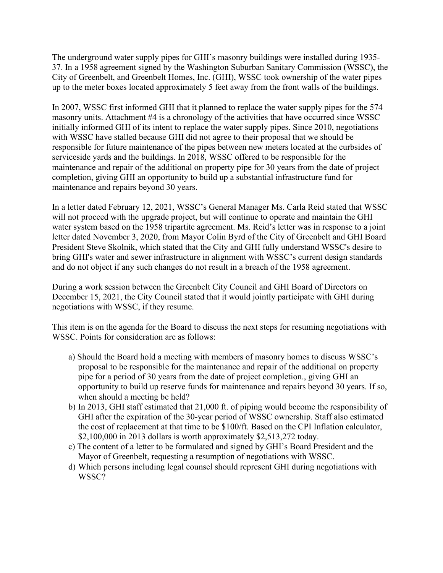The underground water supply pipes for GHI's masonry buildings were installed during 1935- 37. In a 1958 agreement signed by the Washington Suburban Sanitary Commission (WSSC), the City of Greenbelt, and Greenbelt Homes, Inc. (GHI), WSSC took ownership of the water pipes up to the meter boxes located approximately 5 feet away from the front walls of the buildings.

In 2007, WSSC first informed GHI that it planned to replace the water supply pipes for the 574 masonry units. Attachment #4 is a chronology of the activities that have occurred since WSSC initially informed GHI of its intent to replace the water supply pipes. Since 2010, negotiations with WSSC have stalled because GHI did not agree to their proposal that we should be responsible for future maintenance of the pipes between new meters located at the curbsides of serviceside yards and the buildings. In 2018, WSSC offered to be responsible for the maintenance and repair of the additional on property pipe for 30 years from the date of project completion, giving GHI an opportunity to build up a substantial infrastructure fund for maintenance and repairs beyond 30 years.

In a letter dated February 12, 2021, WSSC's General Manager Ms. Carla Reid stated that WSSC will not proceed with the upgrade project, but will continue to operate and maintain the GHI water system based on the 1958 tripartite agreement. Ms. Reid's letter was in response to a joint letter dated November 3, 2020, from Mayor Colin Byrd of the City of Greenbelt and GHI Board President Steve Skolnik, which stated that the City and GHI fully understand WSSC's desire to bring GHI's water and sewer infrastructure in alignment with WSSC's current design standards and do not object if any such changes do not result in a breach of the 1958 agreement.

During a work session between the Greenbelt City Council and GHI Board of Directors on December 15, 2021, the City Council stated that it would jointly participate with GHI during negotiations with WSSC, if they resume.

This item is on the agenda for the Board to discuss the next steps for resuming negotiations with WSSC. Points for consideration are as follows:

- a) Should the Board hold a meeting with members of masonry homes to discuss WSSC's proposal to be responsible for the maintenance and repair of the additional on property pipe for a period of 30 years from the date of project completion., giving GHI an opportunity to build up reserve funds for maintenance and repairs beyond 30 years. If so, when should a meeting be held?
- b) In 2013, GHI staff estimated that 21,000 ft. of piping would become the responsibility of GHI after the expiration of the 30-year period of WSSC ownership. Staff also estimated the cost of replacement at that time to be \$100/ft. Based on the CPI Inflation calculator,  $$2,100,000$  in 2013 dollars is worth approximately  $$2,513,272$  today.
- c) The content of a letter to be formulated and signed by GHI's Board President and the Mayor of Greenbelt, requesting a resumption of negotiations with WSSC.
- d) Which persons including legal counsel should represent GHI during negotiations with WSSC?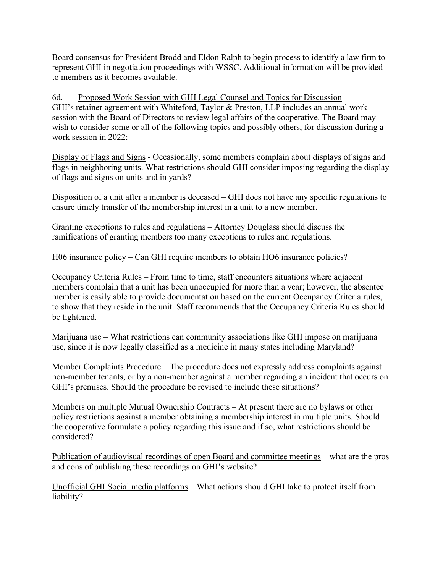Board consensus for President Brodd and Eldon Ralph to begin process to identify a law firm to represent GHI in negotiation proceedings with WSSC. Additional information will be provided to members as it becomes available.

6d. Proposed Work Session with GHI Legal Counsel and Topics for Discussion GHI's retainer agreement with Whiteford, Taylor & Preston, LLP includes an annual work session with the Board of Directors to review legal affairs of the cooperative. The Board may wish to consider some or all of the following topics and possibly others, for discussion during a work session in 2022:

Display of Flags and Signs - Occasionally, some members complain about displays of signs and flags in neighboring units. What restrictions should GHI consider imposing regarding the display of flags and signs on units and in yards?

Disposition of a unit after a member is deceased – GHI does not have any specific regulations to ensure timely transfer of the membership interest in a unit to a new member.

Granting exceptions to rules and regulations – Attorney Douglass should discuss the ramifications of granting members too many exceptions to rules and regulations.

H06 insurance policy – Can GHI require members to obtain HO6 insurance policies?

Occupancy Criteria Rules – From time to time, staff encounters situations where adjacent members complain that a unit has been unoccupied for more than a year; however, the absentee member is easily able to provide documentation based on the current Occupancy Criteria rules, to show that they reside in the unit. Staff recommends that the Occupancy Criteria Rules should be tightened.

Marijuana use – What restrictions can community associations like GHI impose on marijuana use, since it is now legally classified as a medicine in many states including Maryland?

Member Complaints Procedure – The procedure does not expressly address complaints against non-member tenants, or by a non-member against a member regarding an incident that occurs on GHI's premises. Should the procedure be revised to include these situations?

Members on multiple Mutual Ownership Contracts – At present there are no bylaws or other policy restrictions against a member obtaining a membership interest in multiple units. Should the cooperative formulate a policy regarding this issue and if so, what restrictions should be considered?

Publication of audiovisual recordings of open Board and committee meetings – what are the pros and cons of publishing these recordings on GHI's website?

Unofficial GHI Social media platforms – What actions should GHI take to protect itself from liability?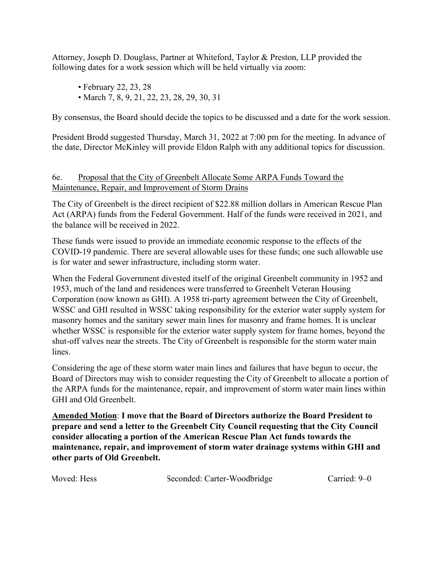Attorney, Joseph D. Douglass, Partner at Whiteford, Taylor & Preston, LLP provided the following dates for a work session which will be held virtually via zoom:

- February 22, 23, 28
- March 7, 8, 9, 21, 22, 23, 28, 29, 30, 31

By consensus, the Board should decide the topics to be discussed and a date for the work session.

President Brodd suggested Thursday, March 31, 2022 at 7:00 pm for the meeting. In advance of the date, Director McKinley will provide Eldon Ralph with any additional topics for discussion.

## 6e. Proposal that the City of Greenbelt Allocate Some ARPA Funds Toward the Maintenance, Repair, and Improvement of Storm Drains

The City of Greenbelt is the direct recipient of \$22.88 million dollars in American Rescue Plan Act (ARPA) funds from the Federal Government. Half of the funds were received in 2021, and the balance will be received in 2022.

These funds were issued to provide an immediate economic response to the effects of the COVID-19 pandemic. There are several allowable uses for these funds; one such allowable use is for water and sewer infrastructure, including storm water.

When the Federal Government divested itself of the original Greenbelt community in 1952 and 1953, much of the land and residences were transferred to Greenbelt Veteran Housing Corporation (now known as GHI). A 1958 tri-party agreement between the City of Greenbelt, WSSC and GHI resulted in WSSC taking responsibility for the exterior water supply system for masonry homes and the sanitary sewer main lines for masonry and frame homes. It is unclear whether WSSC is responsible for the exterior water supply system for frame homes, beyond the shut-off valves near the streets. The City of Greenbelt is responsible for the storm water main lines.

Considering the age of these storm water main lines and failures that have begun to occur, the Board of Directors may wish to consider requesting the City of Greenbelt to allocate a portion of the ARPA funds for the maintenance, repair, and improvement of storm water main lines within GHI and Old Greenbelt.

**Amended Motion**: **I move that the Board of Directors authorize the Board President to prepare and send a letter to the Greenbelt City Council requesting that the City Council consider allocating a portion of the American Rescue Plan Act funds towards the maintenance, repair, and improvement of storm water drainage systems within GHI and other parts of Old Greenbelt.**

Moved: Hess Seconded: Carter-Woodbridge Carried: 9–0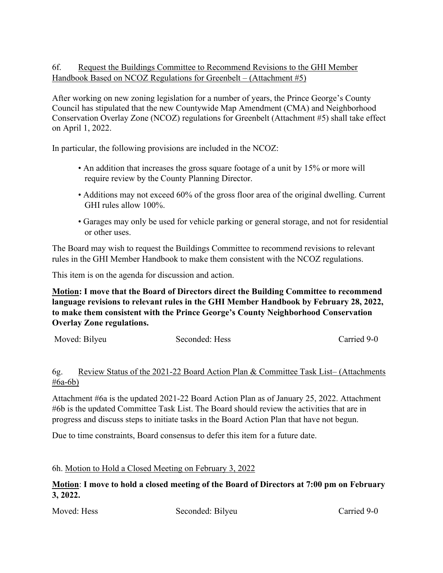# 6f. Request the Buildings Committee to Recommend Revisions to the GHI Member Handbook Based on NCOZ Regulations for Greenbelt – (Attachment #5)

After working on new zoning legislation for a number of years, the Prince George's County Council has stipulated that the new Countywide Map Amendment (CMA) and Neighborhood Conservation Overlay Zone (NCOZ) regulations for Greenbelt (Attachment #5) shall take effect on April 1, 2022.

In particular, the following provisions are included in the NCOZ:

- An addition that increases the gross square footage of a unit by 15% or more will require review by the County Planning Director.
- Additions may not exceed 60% of the gross floor area of the original dwelling. Current GHI rules allow 100%.
- Garages may only be used for vehicle parking or general storage, and not for residential or other uses.

The Board may wish to request the Buildings Committee to recommend revisions to relevant rules in the GHI Member Handbook to make them consistent with the NCOZ regulations.

This item is on the agenda for discussion and action.

**Motion: I move that the Board of Directors direct the Building Committee to recommend language revisions to relevant rules in the GHI Member Handbook by February 28, 2022, to make them consistent with the Prince George's County Neighborhood Conservation Overlay Zone regulations.**

Moved: Bilyeu Seconded: Hess Carried 9-0

## 6g. Review Status of the 2021-22 Board Action Plan & Committee Task List– (Attachments #6a-6b)

Attachment #6a is the updated 2021-22 Board Action Plan as of January 25, 2022. Attachment #6b is the updated Committee Task List. The Board should review the activities that are in progress and discuss steps to initiate tasks in the Board Action Plan that have not begun.

Due to time constraints, Board consensus to defer this item for a future date.

## 6h. Motion to Hold a Closed Meeting on February 3, 2022

**Motion**: **I move to hold a closed meeting of the Board of Directors at 7:00 pm on February 3, 2022.**

Moved: Hess Seconded: Bilyeu Carried 9-0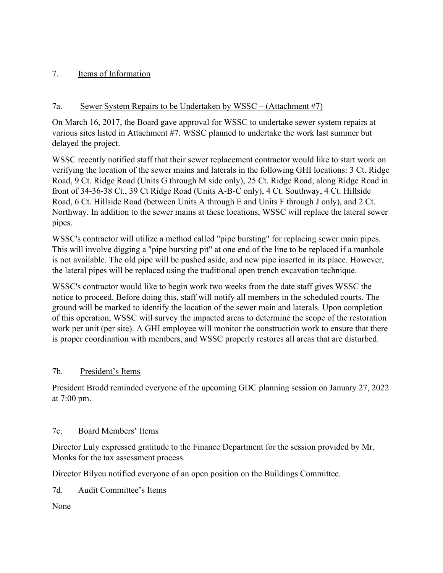# 7. Items of Information

# 7a. Sewer System Repairs to be Undertaken by WSSC – (Attachment #7)

On March 16, 2017, the Board gave approval for WSSC to undertake sewer system repairs at various sites listed in Attachment #7. WSSC planned to undertake the work last summer but delayed the project.

WSSC recently notified staff that their sewer replacement contractor would like to start work on verifying the location of the sewer mains and laterals in the following GHI locations: 3 Ct. Ridge Road, 9 Ct. Ridge Road (Units G through M side only), 25 Ct. Ridge Road, along Ridge Road in front of 34-36-38 Ct., 39 Ct Ridge Road (Units A-B-C only), 4 Ct. Southway, 4 Ct. Hillside Road, 6 Ct. Hillside Road (between Units A through E and Units F through J only), and 2 Ct. Northway. In addition to the sewer mains at these locations, WSSC will replace the lateral sewer pipes.

WSSC's contractor will utilize a method called "pipe bursting" for replacing sewer main pipes. This will involve digging a "pipe bursting pit" at one end of the line to be replaced if a manhole is not available. The old pipe will be pushed aside, and new pipe inserted in its place. However, the lateral pipes will be replaced using the traditional open trench excavation technique.

WSSC's contractor would like to begin work two weeks from the date staff gives WSSC the notice to proceed. Before doing this, staff will notify all members in the scheduled courts. The ground will be marked to identify the location of the sewer main and laterals. Upon completion of this operation, WSSC will survey the impacted areas to determine the scope of the restoration work per unit (per site). A GHI employee will monitor the construction work to ensure that there is proper coordination with members, and WSSC properly restores all areas that are disturbed.

## 7b. President's Items

President Brodd reminded everyone of the upcoming GDC planning session on January 27, 2022 at 7:00 pm.

## 7c. Board Members' Items

Director Luly expressed gratitude to the Finance Department for the session provided by Mr. Monks for the tax assessment process.

Director Bilyeu notified everyone of an open position on the Buildings Committee.

7d. Audit Committee's Items

None